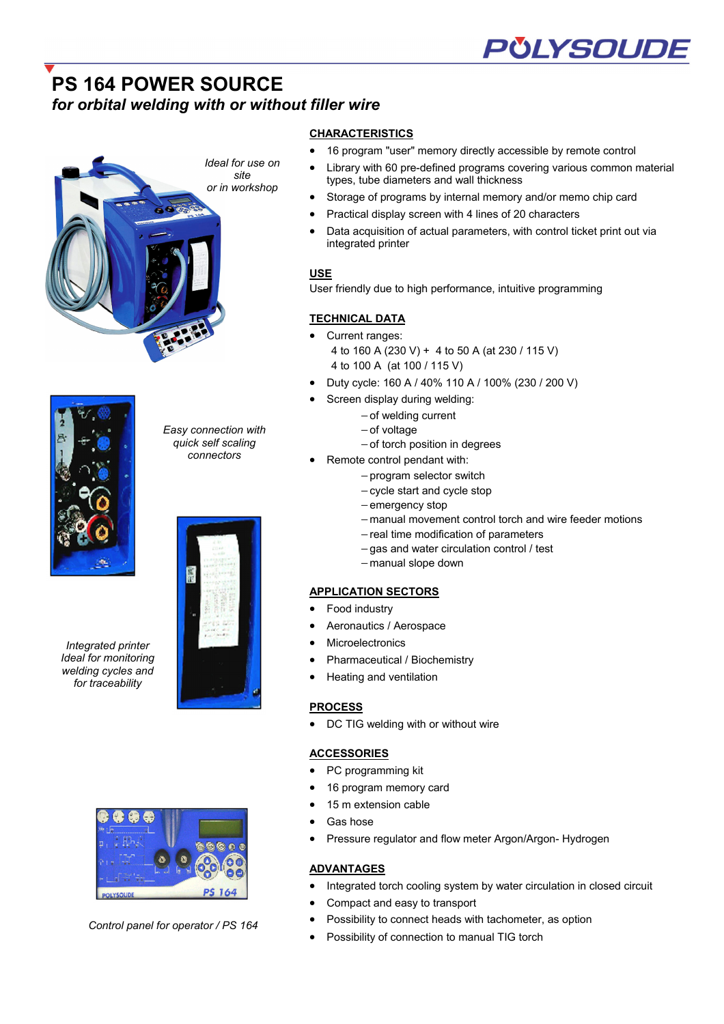# **PS 164 POWER SOURCE**  *for orbital welding with or without filler wire*





*Integrated printer Ideal for monitoring welding cycles and for traceability*



- Practical display screen with 4 lines of 20 characters
- Data acquisition of actual parameters, with control ticket print out via integrated printer

• 16 program "user" memory directly accessible by remote control

# **USE**

User friendly due to high performance, intuitive programming

# **TECHNICAL DATA**

**CHARACTERISTICS**

- Current ranges: 4 to 160 A (230 V) + 4 to 50 A (at 230 / 115 V) 4 to 100 A (at 100 / 115 V)
- Duty cycle: 160 A / 40% 110 A / 100% (230 / 200 V)
- Screen display during welding:
	- − of welding current
		- − of voltage
		- − of torch position in degrees
- Remote control pendant with:
	- − program selector switch
		- − cycle start and cycle stop
		- − emergency stop
		- − manual movement control torch and wire feeder motions
		- − real time modification of parameters
		- − gas and water circulation control / test
		- − manual slope down

### **APPLICATION SECTORS**

- Food industry
- Aeronautics / Aerospace
- **Microelectronics**
- Pharmaceutical / Biochemistry
- Heating and ventilation

#### **PROCESS**

• DC TIG welding with or without wire

#### **ACCESSORIES**

- PC programming kit
- 16 program memory card
- 15 m extension cable
- Gas hose
- Pressure regulator and flow meter Argon/Argon- Hydrogen

# **ADVANTAGES**

- Integrated torch cooling system by water circulation in closed circuit
- Compact and easy to transport
- Possibility to connect heads with tachometer, as option
- Possibility of connection to manual TIG torch



*Control panel for operator / PS 164* 



*Easy connection with quick self scaling connectors*